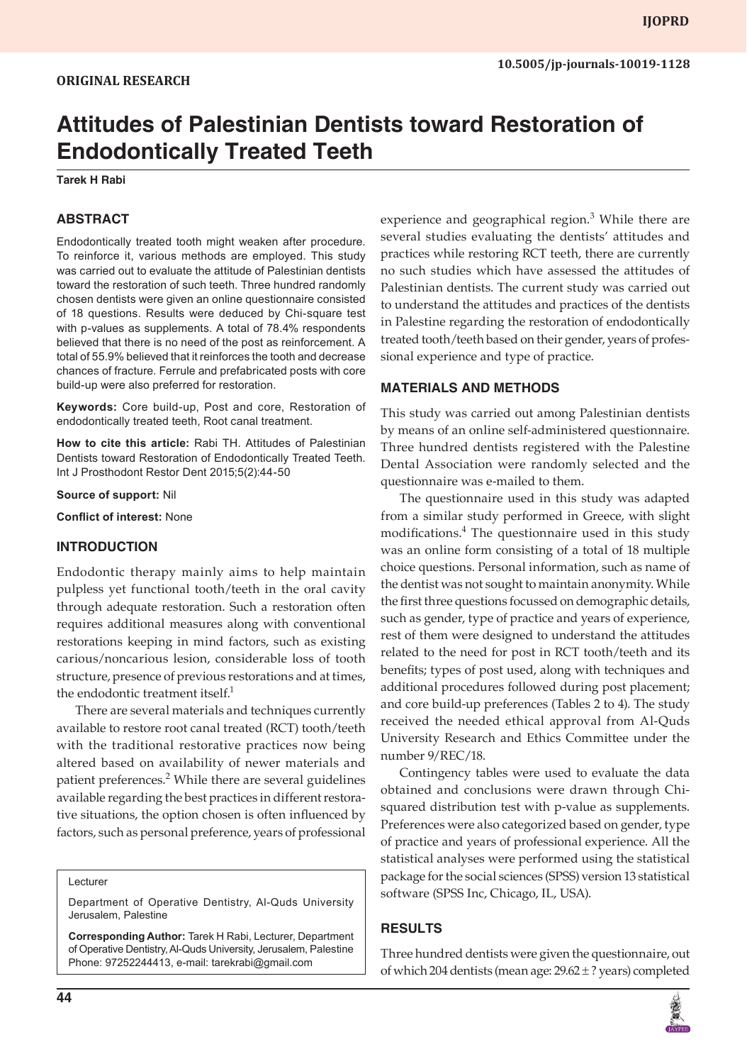# **Attitudes of Palestinian Dentists toward Restoration of Endodontically Treated Teeth**

**Tarek H Rabi**

# **ABSTRACT**

Endodontically treated tooth might weaken after procedure. To reinforce it, various methods are employed. This study was carried out to evaluate the attitude of Palestinian dentists toward the restoration of such teeth. Three hundred randomly chosen dentists were given an online questionnaire consisted of 18 questions. Results were deduced by Chi-square test with p-values as supplements. A total of 78.4% respondents believed that there is no need of the post as reinforcement. A total of 55.9% believed that it reinforces the tooth and decrease chances of fracture. Ferrule and prefabricated posts with core build-up were also preferred for restoration.

**Keywords:** Core build-up, Post and core, Restoration of endodontically treated teeth, Root canal treatment.

**How to cite this article:** Rabi TH. Attitudes of Palestinian Dentists toward Restoration of Endodontically Treated Teeth. Int J Prosthodont Restor Dent 2015;5(2):44-50

**Source of support:** Nil

**Conflict of interest:** None

#### **INTRODUCTION**

Endodontic therapy mainly aims to help maintain pulpless yet functional tooth/teeth in the oral cavity through adequate restoration. Such a restoration often requires additional measures along with conventional restorations keeping in mind factors, such as existing carious/noncarious lesion, considerable loss of tooth structure, presence of previous restorations and at times, the endodontic treatment itself.<sup>1</sup>

There are several materials and techniques currently available to restore root canal treated (RCT) tooth/teeth with the traditional restorative practices now being altered based on availability of newer materials and patient preferences.<sup>2</sup> While there are several guidelines available regarding the best practices in different restorative situations, the option chosen is often influenced by factors, such as personal preference, years of professional

Lecturer

Department of Operative Dentistry, Al-Quds University Jerusalem, Palestine

**Corresponding Author:** Tarek H Rabi, Lecturer, Department of Operative Dentistry, Al-Quds University, Jerusalem, Palestine Phone: 97252244413, e-mail: tarekrabi@gmail.com

experience and geographical region.<sup>3</sup> While there are several studies evaluating the dentists' attitudes and practices while restoring RCT teeth, there are currently no such studies which have assessed the attitudes of Palestinian dentists. The current study was carried out to understand the attitudes and practices of the dentists in Palestine regarding the restoration of endodontically treated tooth/teeth based on their gender, years of professional experience and type of practice.

#### **MATERIALS AND METHODS**

This study was carried out among Palestinian dentists by means of an online self-administered questionnaire. Three hundred dentists registered with the Palestine Dental Association were randomly selected and the questionnaire was e-mailed to them.

The questionnaire used in this study was adapted from a similar study performed in Greece, with slight modifications.<sup>4</sup> The questionnaire used in this study was an online form consisting of a total of 18 multiple choice questions. Personal information, such as name of the dentist was not sought to maintain anonymity. While the first three questions focussed on demographic details, such as gender, type of practice and years of experience, rest of them were designed to understand the attitudes related to the need for post in RCT tooth/teeth and its benefits; types of post used, along with techniques and additional procedures followed during post placement; and core build-up preferences (Tables 2 to 4). The study received the needed ethical approval from Al-Quds University Research and Ethics Committee under the number 9/REC/18.

Contingency tables were used to evaluate the data obtained and conclusions were drawn through Chisquared distribution test with p-value as supplements. Preferences were also categorized based on gender, type of practice and years of professional experience. All the statistical analyses were performed using the statistical package for the social sciences (SPSS) version 13 statistical software (SPSS Inc, Chicago, IL, USA).

# **RESULTS**

Three hundred dentists were given the questionnaire, out of which 204 dentists (mean age:  $29.62 \pm ?$  years) completed

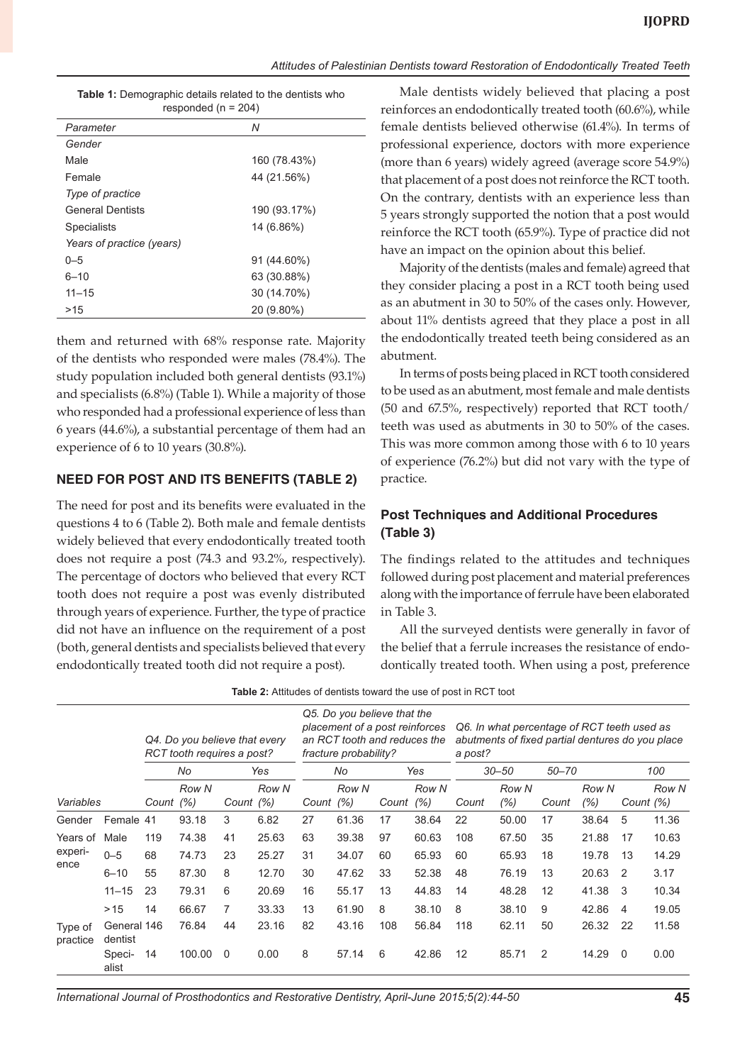#### *Attitudes of Palestinian Dentists toward Restoration of Endodontically Treated Teeth*

| responded ( $n = 204$ )   |              |  |  |  |  |  |  |  |
|---------------------------|--------------|--|--|--|--|--|--|--|
| Parameter                 | Ν            |  |  |  |  |  |  |  |
| Gender                    |              |  |  |  |  |  |  |  |
| Male                      | 160 (78.43%) |  |  |  |  |  |  |  |
| Female                    | 44 (21.56%)  |  |  |  |  |  |  |  |
| Type of practice          |              |  |  |  |  |  |  |  |
| <b>General Dentists</b>   | 190 (93.17%) |  |  |  |  |  |  |  |
| <b>Specialists</b>        | 14 (6.86%)   |  |  |  |  |  |  |  |
| Years of practice (years) |              |  |  |  |  |  |  |  |
| $0 - 5$                   | 91 (44.60%)  |  |  |  |  |  |  |  |
| $6 - 10$                  | 63 (30.88%)  |  |  |  |  |  |  |  |
| $11 - 15$                 | 30 (14.70%)  |  |  |  |  |  |  |  |
| >15                       | 20 (9.80%)   |  |  |  |  |  |  |  |

**Table 1:** Demographic details related to the dentists who

them and returned with 68% response rate. Majority of the dentists who responded were males (78.4%). The study population included both general dentists (93.1%) and specialists (6.8%) (Table 1). While a majority of those who responded had a professional experience of less than 6 years (44.6%), a substantial percentage of them had an experience of 6 to 10 years (30.8%).

# **NEED FOR POST AND ITS BENEFITS (TABLE 2)**

The need for post and its benefits were evaluated in the questions 4 to 6 (Table 2). Both male and female dentists widely believed that every endodontically treated tooth does not require a post (74.3 and 93.2%, respectively). The percentage of doctors who believed that every RCT tooth does not require a post was evenly distributed through years of experience. Further, the type of practice did not have an influence on the requirement of a post (both, general dentists and specialists believed that every endodontically treated tooth did not require a post).

Male dentists widely believed that placing a post reinforces an endodontically treated tooth (60.6%), while female dentists believed otherwise (61.4%). In terms of professional experience, doctors with more experience (more than 6 years) widely agreed (average score 54.9%) that placement of a post does not reinforce the RCT tooth. On the contrary, dentists with an experience less than 5 years strongly supported the notion that a post would reinforce the RCT tooth (65.9%). Type of practice did not have an impact on the opinion about this belief.

Majority of the dentists (males and female) agreed that they consider placing a post in a RCT tooth being used as an abutment in 30 to 50% of the cases only. However, about 11% dentists agreed that they place a post in all the endodontically treated teeth being considered as an abutment.

In terms of posts being placed in RCT tooth considered to be used as an abutment, most female and male dentists (50 and 67.5%, respectively) reported that RCT tooth/ teeth was used as abutments in 30 to 50% of the cases. This was more common among those with 6 to 10 years of experience (76.2%) but did not vary with the type of practice.

# **Post Techniques and Additional Procedures (Table 3)**

The findings related to the attitudes and techniques followed during post placement and material preferences along with the importance of ferrule have been elaborated in Table 3.

All the surveyed dentists were generally in favor of the belief that a ferrule increases the resistance of endodontically treated tooth. When using a post, preference

|                             |                        |       | Q4. Do you believe that every<br>RCT tooth requires a post? |           |       | Q5. Do you believe that the<br>placement of a post reinforces<br>an RCT tooth and reduces the<br>fracture probability? |              |       |               | Q6. In what percentage of RCT teeth used as<br>abutments of fixed partial dentures do you place<br>a post? |               |           |              |           |       |
|-----------------------------|------------------------|-------|-------------------------------------------------------------|-----------|-------|------------------------------------------------------------------------------------------------------------------------|--------------|-------|---------------|------------------------------------------------------------------------------------------------------------|---------------|-----------|--------------|-----------|-------|
|                             |                        | No    |                                                             |           | Yes   |                                                                                                                        | No<br>Yes    |       | $30 - 50$     |                                                                                                            |               | $50 - 70$ |              | 100       |       |
| Variables                   |                        | Count | Row N<br>(%)                                                | Count (%) | Row N | Count                                                                                                                  | Row N<br>(%) | Count | Row N<br>(% ) | Count                                                                                                      | Row N<br>(% ) | Count     | Row N<br>(%) | Count (%) | Row N |
| Gender                      | Female 41              |       | 93.18                                                       | 3         | 6.82  | 27                                                                                                                     | 61.36        | 17    | 38.64         | 22                                                                                                         | 50.00         | 17        | 38.64        | 5         | 11.36 |
| Years of<br>experi-<br>ence | Male                   | 119   | 74.38                                                       | 41        | 25.63 | 63                                                                                                                     | 39.38        | 97    | 60.63         | 108                                                                                                        | 67.50         | 35        | 21.88        | 17        | 10.63 |
|                             | $0 - 5$                | 68    | 74.73                                                       | 23        | 25.27 | 31                                                                                                                     | 34.07        | 60    | 65.93         | 60                                                                                                         | 65.93         | 18        | 19.78        | 13        | 14.29 |
|                             | $6 - 10$               | 55    | 87.30                                                       | 8         | 12.70 | 30                                                                                                                     | 47.62        | 33    | 52.38         | 48                                                                                                         | 76.19         | 13        | 20.63        | 2         | 3.17  |
|                             | $11 - 15$              | 23    | 79.31                                                       | 6         | 20.69 | 16                                                                                                                     | 55.17        | 13    | 44.83         | 14                                                                                                         | 48.28         | 12        | 41.38        | 3         | 10.34 |
|                             | >15                    | 14    | 66.67                                                       | 7         | 33.33 | 13                                                                                                                     | 61.90        | 8     | 38.10         | 8                                                                                                          | 38.10         | 9         | 42.86        | 4         | 19.05 |
| Type of<br>practice         | General 146<br>dentist |       | 76.84                                                       | 44        | 23.16 | 82                                                                                                                     | 43.16        | 108   | 56.84         | 118                                                                                                        | 62.11         | 50        | 26.32        | 22        | 11.58 |
|                             | Speci-<br>alist        | 14    | 100.00                                                      | $\Omega$  | 0.00  | 8                                                                                                                      | 57.14        | 6     | 42.86         | 12                                                                                                         | 85.71         | 2         | 14.29        | $\Omega$  | 0.00  |

**Table 2:** Attitudes of dentists toward the use of post in RCT toot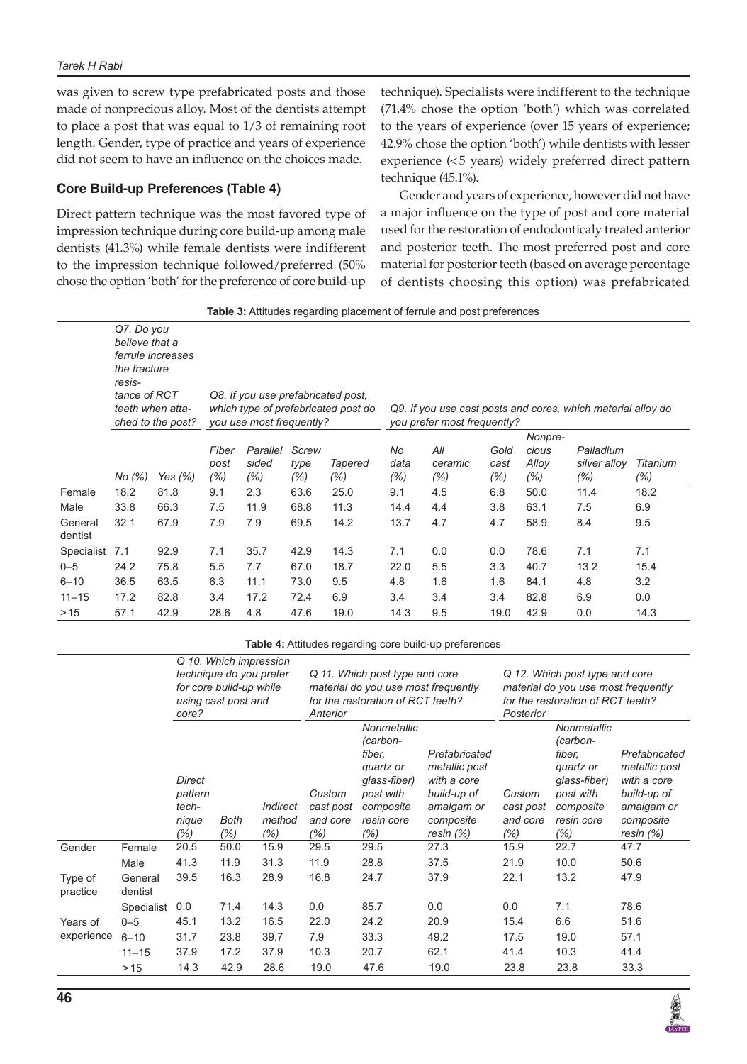was given to screw type prefabricated posts and those made of nonprecious alloy. Most of the dentists attempt to place a post that was equal to 1/3 of remaining root length. Gender, type of practice and years of experience did not seem to have an influence on the choices made.

#### **Core Build-up Preferences (Table 4)**

Direct pattern technique was the most favored type of impression technique during core build-up among male dentists (41.3%) while female dentists were indifferent to the impression technique followed/preferred (50% chose the option 'both' for the preference of core build-up

technique). Specialists were indifferent to the technique (71.4% chose the option 'both') which was correlated to the years of experience (over 15 years of experience; 42.9% chose the option 'both') while dentists with lesser experience (<5 years) widely preferred direct pattern technique (45.1%).

Gender and years of experience, however did not have a major influence on the type of post and core material used for the restoration of endodonticaly treated anterior and posterior teeth. The most preferred post and core material for posterior teeth (based on average percentage of dentists choosing this option) was prefabricated

|                    |                                                                        |                                                            |                       |                                                                | <b>Table 3:</b> Attitudes regarding placement of ferrule and post preferences |                                     |                                                                                             |                           |                         |                                      |                                  |                     |  |
|--------------------|------------------------------------------------------------------------|------------------------------------------------------------|-----------------------|----------------------------------------------------------------|-------------------------------------------------------------------------------|-------------------------------------|---------------------------------------------------------------------------------------------|---------------------------|-------------------------|--------------------------------------|----------------------------------|---------------------|--|
|                    | Q7. Do you<br>believe that a<br>the fracture<br>resis-<br>tance of RCT | ferrule increases<br>teeth when atta-<br>ched to the post? |                       | Q8. If you use prefabricated post.<br>you use most frequently? |                                                                               | which type of prefabricated post do | Q9. If you use cast posts and cores, which material alloy do<br>you prefer most frequently? |                           |                         |                                      |                                  |                     |  |
|                    | No (%)                                                                 | Yes (%)                                                    | Fiber<br>post<br>(% ) | Parallel<br>sided<br>$(\% )$                                   | <b>Screw</b><br>type<br>(%)                                                   | <b>Tapered</b><br>(%)               | No<br>data<br>(%)                                                                           | All<br>ceramic<br>$(\% )$ | Gold<br>cast<br>$(\% )$ | Nonpre-<br>cious<br>Alloy<br>$(\% )$ | Palladium<br>silver alloy<br>(%) | Titanium<br>$(\% )$ |  |
| Female             | 18.2                                                                   | 81.8                                                       | 9.1                   | 2.3                                                            | 63.6                                                                          | 25.0                                | 9.1                                                                                         | 4.5                       | 6.8                     | 50.0                                 | 11.4                             | 18.2                |  |
| Male               | 33.8                                                                   | 66.3                                                       | 7.5                   | 11.9                                                           | 68.8                                                                          | 11.3                                | 14.4                                                                                        | 4.4                       | 3.8                     | 63.1                                 | 7.5                              | 6.9                 |  |
| General<br>dentist | 32.1                                                                   | 67.9                                                       | 7.9                   | 7.9                                                            | 69.5                                                                          | 14.2                                | 13.7                                                                                        | 4.7                       | 4.7                     | 58.9                                 | 8.4                              | 9.5                 |  |
| Specialist         | 7.1                                                                    | 92.9                                                       | 7.1                   | 35.7                                                           | 42.9                                                                          | 14.3                                | 7.1                                                                                         | 0.0                       | 0.0                     | 78.6                                 | 7.1                              | 7.1                 |  |
| $0 - 5$            | 24.2                                                                   | 75.8                                                       | 5.5                   | 7.7                                                            | 67.0                                                                          | 18.7                                | 22.0                                                                                        | 5.5                       | 3.3                     | 40.7                                 | 13.2                             | 15.4                |  |
| $6 - 10$           | 36.5                                                                   | 63.5                                                       | 6.3                   | 11.1                                                           | 73.0                                                                          | 9.5                                 | 4.8                                                                                         | 1.6                       | 1.6                     | 84.1                                 | 4.8                              | 3.2                 |  |
| $11 - 15$          | 17.2                                                                   | 82.8                                                       | 3.4                   | 17.2                                                           | 72.4                                                                          | 6.9                                 | 3.4                                                                                         | 3.4                       | 3.4                     | 82.8                                 | 6.9                              | 0.0                 |  |
| >15                | 57.1                                                                   | 42.9                                                       | 28.6                  | 4.8                                                            | 47.6                                                                          | 19.0                                | 14.3                                                                                        | 9.5                       | 19.0                    | 42.9                                 | 0.0                              | 14.3                |  |

**Table 3:** Attitudes regarding placement of ferrule and post preferences

#### **Table 4:** Attitudes regarding core build-up preferences

|                     |                    | Q 10. Which impression<br>technique do you prefer<br>for core build-up while<br>using cast post and<br>core? |             |                                      | Anterior                                | Q 11. Which post type and core<br>material do you use most frequently<br>for the restoration of RCT teeth?        |                                                                                                         | Q 12. Which post type and core<br>material do you use most frequently<br>for the restoration of RCT teeth?<br>Posterior |                                                                                                                   |                                                                                                         |  |
|---------------------|--------------------|--------------------------------------------------------------------------------------------------------------|-------------|--------------------------------------|-----------------------------------------|-------------------------------------------------------------------------------------------------------------------|---------------------------------------------------------------------------------------------------------|-------------------------------------------------------------------------------------------------------------------------|-------------------------------------------------------------------------------------------------------------------|---------------------------------------------------------------------------------------------------------|--|
|                     |                    | <b>Direct</b><br>pattern<br>tech-<br>nique<br>(% )                                                           | Both<br>(%) | <b>Indirect</b><br>method<br>$(\% )$ | Custom<br>cast post<br>and core<br>(% ) | Nonmetallic<br>(carbon-<br>fiber.<br>quartz or<br>glass-fiber)<br>post with<br>composite<br>resin core<br>$(\% )$ | Prefabricated<br>metallic post<br>with a core<br>build-up of<br>amalgam or<br>composite<br>resin $(\%)$ | Custom<br>cast post<br>and core<br>(%)                                                                                  | Nonmetallic<br>(carbon-<br>fiber.<br>quartz or<br>glass-fiber)<br>post with<br>composite<br>resin core<br>$(\% )$ | Prefabricated<br>metallic post<br>with a core<br>build-up of<br>amalgam or<br>composite<br>resin $(\%)$ |  |
| Gender              | Female             | 20.5                                                                                                         | 50.0        | 15.9                                 | 29.5                                    | 29.5                                                                                                              | 27.3                                                                                                    | 15.9                                                                                                                    | 22.7                                                                                                              | 47.7                                                                                                    |  |
|                     | Male               | 41.3                                                                                                         | 11.9        | 31.3                                 | 11.9                                    | 28.8                                                                                                              | 37.5                                                                                                    | 21.9                                                                                                                    | 10.0                                                                                                              | 50.6                                                                                                    |  |
| Type of<br>practice | General<br>dentist | 39.5                                                                                                         | 16.3        | 28.9                                 | 16.8                                    | 24.7                                                                                                              | 37.9                                                                                                    | 22.1                                                                                                                    | 13.2                                                                                                              | 47.9                                                                                                    |  |
|                     | Specialist         | 0.0                                                                                                          | 71.4        | 14.3                                 | 0.0                                     | 85.7                                                                                                              | 0.0                                                                                                     | 0.0                                                                                                                     | 7.1                                                                                                               | 78.6                                                                                                    |  |
| Years of            | $0 - 5$            | 45.1                                                                                                         | 13.2        | 16.5                                 | 22.0                                    | 24.2                                                                                                              | 20.9                                                                                                    | 15.4                                                                                                                    | 6.6                                                                                                               | 51.6                                                                                                    |  |
| experience          | $6 - 10$           | 31.7                                                                                                         | 23.8        | 39.7                                 | 7.9                                     | 33.3                                                                                                              | 49.2                                                                                                    | 17.5                                                                                                                    | 19.0                                                                                                              | 57.1                                                                                                    |  |
|                     | $11 - 15$          | 37.9                                                                                                         | 17.2        | 37.9                                 | 10.3                                    | 20.7                                                                                                              | 62.1                                                                                                    | 41.4                                                                                                                    | 10.3                                                                                                              | 41.4                                                                                                    |  |
|                     | >15                | 14.3                                                                                                         | 42.9        | 28.6                                 | 19.0                                    | 47.6                                                                                                              | 19.0                                                                                                    | 23.8                                                                                                                    | 23.8                                                                                                              | 33.3                                                                                                    |  |

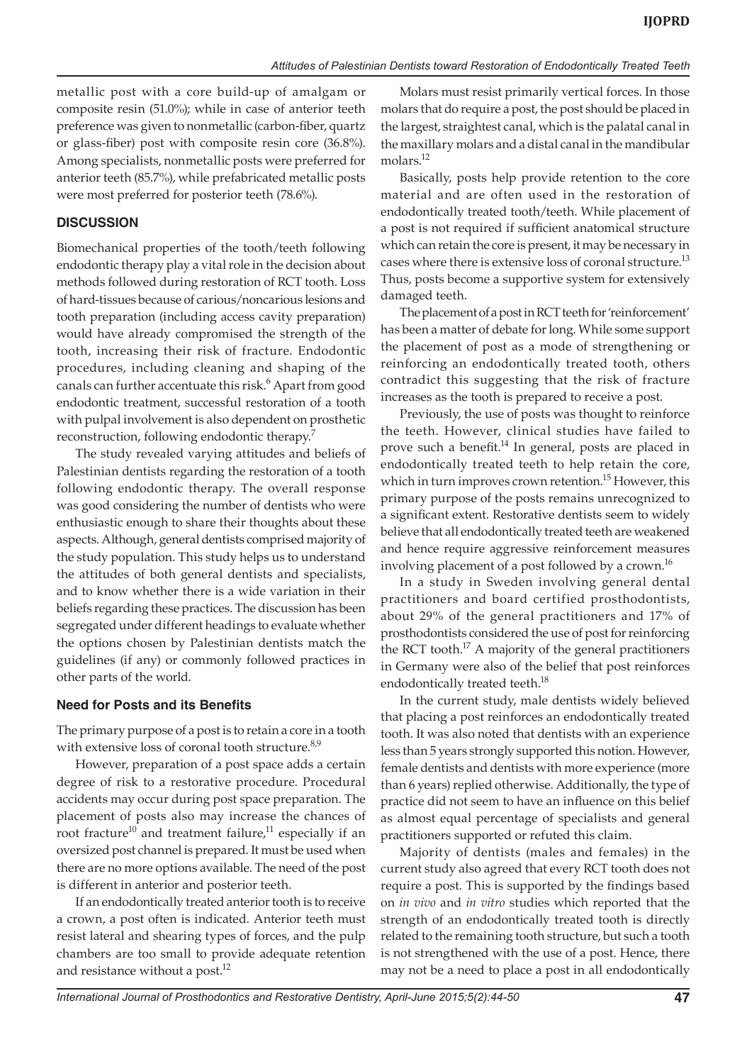metallic post with a core build-up of amalgam or composite resin (51.0%); while in case of anterior teeth preference was given to nonmetallic (carbon-fiber, quartz or glass-fiber) post with composite resin core (36.8%). Among specialists, nonmetallic posts were preferred for anterior teeth (85.7%), while prefabricated metallic posts were most preferred for posterior teeth (78.6%).

# **DISCUSSION**

Biomechanical properties of the tooth/teeth following endodontic therapy play a vital role in the decision about methods followed during restoration of RCT tooth. Loss of hard-tissues because of carious/noncarious lesions and tooth preparation (including access cavity preparation) would have already compromised the strength of the tooth, increasing their risk of fracture. Endodontic procedures, including cleaning and shaping of the canals can further accentuate this risk.<sup>6</sup> Apart from good endodontic treatment, successful restoration of a tooth with pulpal involvement is also dependent on prosthetic reconstruction, following endodontic therapy.<sup>7</sup>

The study revealed varying attitudes and beliefs of Palestinian dentists regarding the restoration of a tooth following endodontic therapy. The overall response was good considering the number of dentists who were enthusiastic enough to share their thoughts about these aspects. Although, general dentists comprised majority of the study population. This study helps us to understand the attitudes of both general dentists and specialists, and to know whether there is a wide variation in their beliefs regarding these practices. The discussion has been segregated under different headings to evaluate whether the options chosen by Palestinian dentists match the guidelines (if any) or commonly followed practices in other parts of the world.

# **Need for Posts and its Benefits**

The primary purpose of a post is to retain a core in a tooth with extensive loss of coronal tooth structure.<sup>8,9</sup>

However, preparation of a post space adds a certain degree of risk to a restorative procedure. Procedural accidents may occur during post space preparation. The placement of posts also may increase the chances of root fracture<sup>10</sup> and treatment failure,<sup>11</sup> especially if an oversized post channel is prepared. It must be used when there are no more options available. The need of the post is different in anterior and posterior teeth.

If an endodontically treated anterior tooth is to receive a crown, a post often is indicated. Anterior teeth must resist lateral and shearing types of forces, and the pulp chambers are too small to provide adequate retention and resistance without a post.<sup>12</sup>

Molars must resist primarily vertical forces. In those molars that do require a post, the post should be placed in the largest, straightest canal, which is the palatal canal in the maxillary molars and a distal canal in the mandibular molars.12

Basically, posts help provide retention to the core material and are often used in the restoration of endodontically treated tooth/teeth. While placement of a post is not required if sufficient anatomical structure which can retain the core is present, it may be necessary in cases where there is extensive loss of coronal structure.<sup>13</sup> Thus, posts become a supportive system for extensively damaged teeth.

The placement of a post in RCT teeth for 'reinforcement' has been a matter of debate for long. While some support the placement of post as a mode of strengthening or reinforcing an endodontically treated tooth, others contradict this suggesting that the risk of fracture increases as the tooth is prepared to receive a post.

Previously, the use of posts was thought to reinforce the teeth. However, clinical studies have failed to prove such a benefit.<sup>14</sup> In general, posts are placed in endodontically treated teeth to help retain the core, which in turn improves crown retention.<sup>15</sup> However, this primary purpose of the posts remains unrecognized to a significant extent. Restorative dentists seem to widely believe that all endodontically treated teeth are weakened and hence require aggressive reinforcement measures involving placement of a post followed by a crown.<sup>16</sup>

In a study in Sweden involving general dental practitioners and board certified prosthodontists, about 29% of the general practitioners and 17% of prosthodontists considered the use of post for reinforcing the RCT tooth.<sup>17</sup> A majority of the general practitioners in Germany were also of the belief that post reinforces endodontically treated teeth.<sup>18</sup>

In the current study, male dentists widely believed that placing a post reinforces an endodontically treated tooth. It was also noted that dentists with an experience less than 5 years strongly supported this notion. However, female dentists and dentists with more experience (more than 6 years) replied otherwise. Additionally, the type of practice did not seem to have an influence on this belief as almost equal percentage of specialists and general practitioners supported or refuted this claim.

Majority of dentists (males and females) in the current study also agreed that every RCT tooth does not require a post. This is supported by the findings based on *in vivo* and *in vitro* studies which reported that the strength of an endodontically treated tooth is directly related to the remaining tooth structure, but such a tooth is not strengthened with the use of a post. Hence, there may not be a need to place a post in all endodontically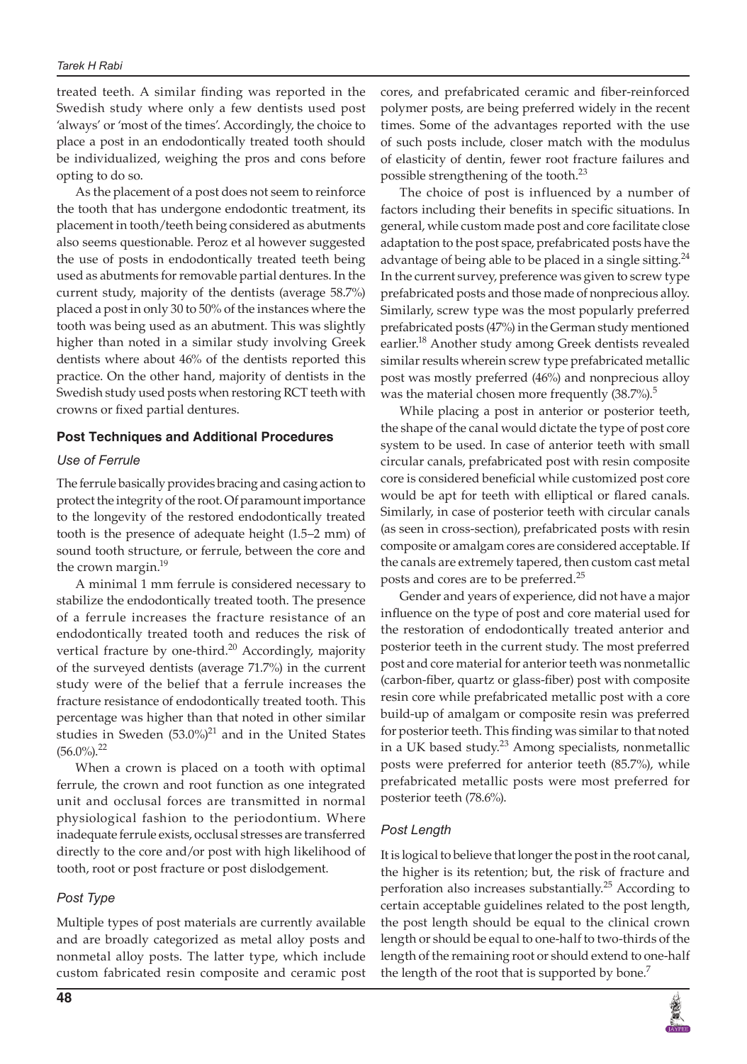treated teeth. A similar finding was reported in the Swedish study where only a few dentists used post 'always' or 'most of the times'. Accordingly, the choice to place a post in an endodontically treated tooth should be individualized, weighing the pros and cons before opting to do so.

As the placement of a post does not seem to reinforce the tooth that has undergone endodontic treatment, its placement in tooth/teeth being considered as abutments also seems questionable. Peroz et al however suggested the use of posts in endodontically treated teeth being used as abutments for removable partial dentures. In the current study, majority of the dentists (average 58.7%) placed a post in only 30 to 50% of the instances where the tooth was being used as an abutment. This was slightly higher than noted in a similar study involving Greek dentists where about 46% of the dentists reported this practice. On the other hand, majority of dentists in the Swedish study used posts when restoring RCT teeth with crowns or fixed partial dentures.

# **Post Techniques and Additional Procedures**

#### *Use of Ferrule*

The ferrule basically provides bracing and casing action to protect the integrity of the root. Of paramount importance to the longevity of the restored endodontically treated tooth is the presence of adequate height (1.5–2 mm) of sound tooth structure, or ferrule, between the core and the crown margin.<sup>19</sup>

A minimal 1 mm ferrule is considered necessary to stabilize the endodontically treated tooth. The presence of a ferrule increases the fracture resistance of an endodontically treated tooth and reduces the risk of vertical fracture by one-third. $20$  Accordingly, majority of the surveyed dentists (average 71.7%) in the current study were of the belief that a ferrule increases the fracture resistance of endodontically treated tooth. This percentage was higher than that noted in other similar studies in Sweden  $(53.0\%)^{21}$  and in the United States  $(56.0\%)$ <sup>22</sup>

When a crown is placed on a tooth with optimal ferrule, the crown and root function as one integrated unit and occlusal forces are transmitted in normal physiological fashion to the periodontium. Where inadequate ferrule exists, occlusal stresses are transferred directly to the core and/or post with high likelihood of tooth, root or post fracture or post dislodgement.

# *Post Type*

Multiple types of post materials are currently available and are broadly categorized as metal alloy posts and nonmetal alloy posts. The latter type, which include custom fabricated resin composite and ceramic post cores, and prefabricated ceramic and fiber-reinforced polymer posts, are being preferred widely in the recent times. Some of the advantages reported with the use of such posts include, closer match with the modulus of elasticity of dentin, fewer root fracture failures and possible strengthening of the tooth.<sup>23</sup>

The choice of post is influenced by a number of factors including their benefits in specific situations. In general, while custom made post and core facilitate close adaptation to the post space, prefabricated posts have the advantage of being able to be placed in a single sitting.<sup>24</sup> In the current survey, preference was given to screw type prefabricated posts and those made of nonprecious alloy. Similarly, screw type was the most popularly preferred prefabricated posts (47%) in the German study mentioned earlier.<sup>18</sup> Another study among Greek dentists revealed similar results wherein screw type prefabricated metallic post was mostly preferred (46%) and nonprecious alloy was the material chosen more frequently  $(38.7\%)$ .<sup>5</sup>

While placing a post in anterior or posterior teeth, the shape of the canal would dictate the type of post core system to be used. In case of anterior teeth with small circular canals, prefabricated post with resin composite core is considered beneficial while customized post core would be apt for teeth with elliptical or flared canals. Similarly, in case of posterior teeth with circular canals (as seen in cross-section), prefabricated posts with resin composite or amalgam cores are considered acceptable. If the canals are extremely tapered, then custom cast metal posts and cores are to be preferred.<sup>25</sup>

Gender and years of experience, did not have a major influence on the type of post and core material used for the restoration of endodontically treated anterior and posterior teeth in the current study. The most preferred post and core material for anterior teeth was nonmetallic (carbon-fiber, quartz or glass-fiber) post with composite resin core while prefabricated metallic post with a core build-up of amalgam or composite resin was preferred for posterior teeth. This finding was similar to that noted in a UK based study.<sup>23</sup> Among specialists, nonmetallic posts were preferred for anterior teeth (85.7%), while prefabricated metallic posts were most preferred for posterior teeth (78.6%).

# *Post Length*

It is logical to believe that longer the post in the root canal, the higher is its retention; but, the risk of fracture and perforation also increases substantially.<sup>25</sup> According to certain acceptable guidelines related to the post length, the post length should be equal to the clinical crown length or should be equal to one-half to two-thirds of the length of the remaining root or should extend to one-half the length of the root that is supported by bone.<sup>7</sup>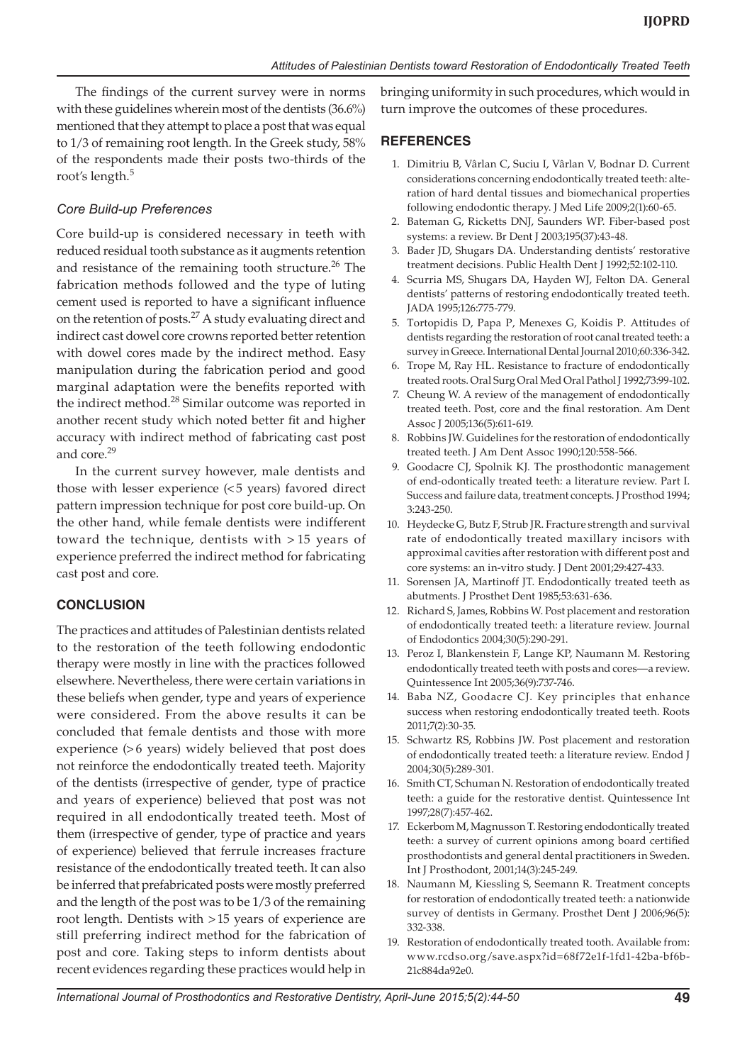The findings of the current survey were in norms with these guidelines wherein most of the dentists (36.6%) mentioned that they attempt to place a post that was equal to 1/3 of remaining root length. In the Greek study, 58% of the respondents made their posts two-thirds of the root's length.<sup>5</sup>

#### *Core Build-up Preferences*

Core build-up is considered necessary in teeth with reduced residual tooth substance as it augments retention and resistance of the remaining tooth structure.<sup>26</sup> The fabrication methods followed and the type of luting cement used is reported to have a significant influence on the retention of posts.<sup>27</sup> A study evaluating direct and indirect cast dowel core crowns reported better retention with dowel cores made by the indirect method. Easy manipulation during the fabrication period and good marginal adaptation were the benefits reported with the indirect method.<sup>28</sup> Similar outcome was reported in another recent study which noted better fit and higher accuracy with indirect method of fabricating cast post and core.<sup>29</sup>

In the current survey however, male dentists and those with lesser experience (<5 years) favored direct pattern impression technique for post core build-up. On the other hand, while female dentists were indifferent toward the technique, dentists with > 15 years of experience preferred the indirect method for fabricating cast post and core.

#### **CONCLUSION**

The practices and attitudes of Palestinian dentists related to the restoration of the teeth following endodontic therapy were mostly in line with the practices followed elsewhere. Nevertheless, there were certain variations in these beliefs when gender, type and years of experience were considered. From the above results it can be concluded that female dentists and those with more experience (>6 years) widely believed that post does not reinforce the endodontically treated teeth. Majority of the dentists (irrespective of gender, type of practice and years of experience) believed that post was not required in all endodontically treated teeth. Most of them (irrespective of gender, type of practice and years of experience) believed that ferrule increases fracture resistance of the endodontically treated teeth. It can also be inferred that prefabricated posts were mostly preferred and the length of the post was to be 1/3 of the remaining root length. Dentists with >15 years of experience are still preferring indirect method for the fabrication of post and core. Taking steps to inform dentists about recent evidences regarding these practices would help in bringing uniformity in such procedures, which would in turn improve the outcomes of these procedures.

#### **REFERENCES**

- 1. Dimitriu B, Vârlan C, Suciu I, Vârlan V, Bodnar D. Current considerations concerning endodontically treated teeth: alteration of hard dental tissues and biomechanical properties following endodontic therapy. J Med Life 2009;2(1):60-65.
- 2. Bateman G, Ricketts DNJ, Saunders WP. Fiber-based post systems: a review. Br Dent J 2003;195(37):43-48.
- 3. Bader JD, Shugars DA. Understanding dentists' restorative treatment decisions. Public Health Dent J 1992;52:102-110.
- 4. Scurria MS, Shugars DA, Hayden WJ, Felton DA. General dentists' patterns of restoring endodontically treated teeth. JADA 1995;126:775-779.
- 5. Tortopidis D, Papa P, Menexes G, Koidis P. Attitudes of dentists regarding the restoration of root canal treated teeth: a survey in Greece. International Dental Journal 2010;60:336-342.
- 6. Trope M, Ray HL. Resistance to fracture of endodontically treated roots. Oral Surg Oral Med Oral Pathol J 1992;73:99-102.
- 7. Cheung W. A review of the management of endodontically treated teeth. Post, core and the final restoration. Am Dent Assoc J 2005;136(5):611-619.
- 8. Robbins JW. Guidelines for the restoration of endodontically treated teeth. J Am Dent Assoc 1990;120:558-566.
- Goodacre CJ, Spolnik KJ. The prosthodontic management of end-odontically treated teeth: a literature review. Part I. Success and failure data, treatment concepts. J Prosthod 1994; 3:243-250.
- 10. Heydecke G, Butz F, Strub JR. Fracture strength and survival rate of endodontically treated maxillary incisors with approximal cavities after restoration with different post and core systems: an in-vitro study. J Dent 2001;29:427-433.
- 11. Sorensen JA, Martinoff JT. Endodontically treated teeth as abutments. J Prosthet Dent 1985;53:631-636.
- 12. Richard S, James, Robbins W. Post placement and restoration of endodontically treated teeth: a literature review. Journal of Endodontics 2004;30(5):290-291.
- 13. Peroz I, Blankenstein F, Lange KP, Naumann M. Restoring endodontically treated teeth with posts and cores—a review. Quintessence Int 2005;36(9):737-746.
- 14. Baba NZ, Goodacre CJ. Key principles that enhance success when restoring endodontically treated teeth. Roots 2011;7(2):30-35.
- 15. Schwartz RS, Robbins JW. Post placement and restoration of endodontically treated teeth: a literature review. Endod J 2004;30(5):289-301.
- 16. Smith CT, Schuman N. Restoration of endodontically treated teeth: a guide for the restorative dentist. Quintessence Int 1997;28(7):457-462.
- 17. Eckerbom M, Magnusson T. Restoring endodontically treated teeth: a survey of current opinions among board certified prosthodontists and general dental practitioners in Sweden. Int J Prosthodont, 2001;14(3):245-249.
- 18. Naumann M, Kiessling S, Seemann R. Treatment concepts for restoration of endodontically treated teeth: a nationwide survey of dentists in Germany. Prosthet Dent J 2006;96(5): 332-338.
- 19. Restoration of endodontically treated tooth. Available from: www.rcdso.org/save.aspx?id=68f72e1f-1fd1-42ba-bf6b-21c884da92e0.